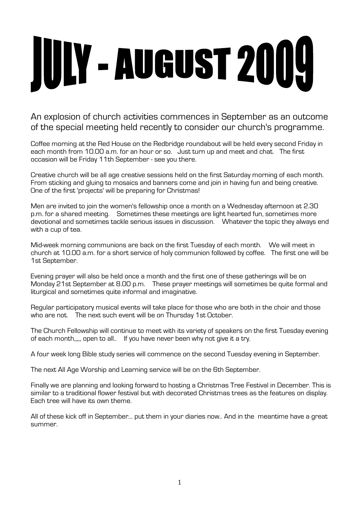# JULY - AUGUST 2009

An explosion of church activities commences in September as an outcome of the special meeting held recently to consider our church's programme.

Coffee morning at the Red House on the Redbridge roundabout will be held every second Friday in each month from 10.00 a.m. for an hour or so. Just turn up and meet and chat. The first occasion will be Friday 11th September - see you there.

Creative church will be all age creative sessions held on the first Saturday morning of each month. From sticking and gluing to mosaics and banners come and join in having fun and being creative. One of the first 'projects' will be preparing for Christmas!

Men are invited to join the women's fellowship once a month on a Wednesday afternoon at 2.30 p.m. for a shared meeting. Sometimes these meetings are light hearted fun, sometimes more devotional and sometimes tackle serious issues in discussion. Whatever the topic they always end with a cup of tea.

Mid-week morning communions are back on the first Tuesday of each month. We will meet in church at 10.00 a.m. for a short service of holy communion followed by coffee. The first one will be 1st September.

Evening prayer will also be held once a month and the first one of these gatherings will be on Monday 21st September at 8.00 p.m. These prayer meetings will sometimes be quite formal and liturgical and sometimes quite informal and imaginative.

Regular participatory musical events will take place for those who are both in the choir and those who are not. The next such event will be on Thursday 1st October.

The Church Fellowship will continue to meet with its variety of speakers on the first Tuesday evening of each month,,,,, open to all.. If you have never been why not give it a try.

A four week long Bible study series will commence on the second Tuesday evening in September.

The next All Age Worship and Learning service will be on the 6th September.

Finally we are planning and looking forward to hosting a Christmas Tree Festival in December. This is similar to a traditional flower festival but with decorated Christmas trees as the features on display. Each tree will have its own theme.

All of these kick off in September... put them in your diaries now.. And in the meantime have a great summer.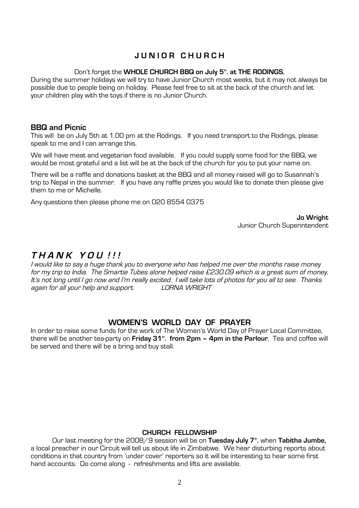## **J U N I O R C H U R C H**

#### Don't forget the **WHOLE CHURCH BBQ on July 5th. at THE RODINGS.**

During the summer holidays we will try to have Junior Church most weeks, but it may not always be possible due to people being on holiday. Please feel free to sit at the back of the church and let your children play with the toys if there is no Junior Church.

#### **BBQ and Picnic**

This will be on July 5th at 1.00 pm at the Rodings. If you need transport to the Rodings, please speak to me and I can arrange this.

We will have meat and vegetarian food available. If you could supply some food for the BBQ, we would be most grateful and a list will be at the back of the church for you to put your name on.

There will be a raffle and donations basket at the BBQ and all money raised will go to Susannah's trip to Nepal in the summer. If you have any raffle prizes you would like to donate then please give them to me or Michelle.

Any questions then please phone me on 020 8554 0375

**Jo Wright** Junior Church Superintendent

## **<sup>T</sup> <sup>H</sup> <sup>A</sup> <sup>N</sup> <sup>K</sup> <sup>Y</sup> <sup>O</sup> <sup>U</sup> ! ! !**

<sup>I</sup> would like to say <sup>a</sup> huge thank you to everyone who has helped me over the months raise money for my trip to India. The Smartie Tubes alone helped raise £230.09 which is <sup>a</sup> great sum of money. It's not long until I go now and I'm really excited. I will take lots of photos for you all to see. Thanks<br>again for all vour help and support. I ORNA WRIGHT again for all your help and support.

## **WOMEN'S WORLD DAY OF PRAYER**

In order to raise some funds for the work of The Women's World Day of Prayer Local Committee, there will be another tea-party on **Friday 31st . from 2pm – 4pm in the Parlour**. Tea and coffee will be served and there will be a bring and buy stall.

## **CHURCH FELLOWSHIP**

Our last meeting for the 2008/9 session will be on **Tuesday July 7th .** when **Tabitha Jumbe,** a local preacher in our Circuit will tell us about life in Zimbabwe. We hear disturbing reports about conditions in that country from 'under cover' reporters so it will be interesting to hear some first hand accounts. Do come along - refreshments and lifts are available.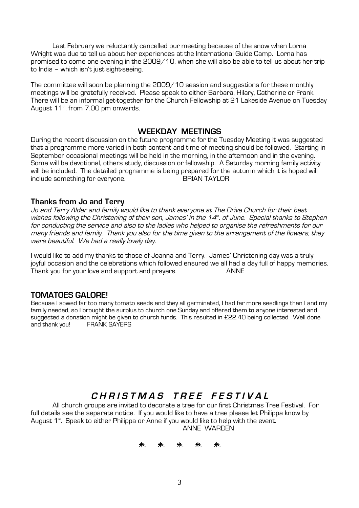Last February we reluctantly cancelled our meeting because of the snow when Lorna Wright was due to tell us about her experiences at the International Guide Camp. Lorna has promised to come one evening in the 2009/10, when she will also be able to tell us about her trip to India – which isn't just sight-seeing.

The committee will soon be planning the 2009/10 session and suggestions for these monthly meetings will be gratefully received. Please speak to either Barbara, Hilary, Catherine or Frank. There will be an informal get-together for the Church Fellowship at 21 Lakeside Avenue on Tuesday August 11<sup>th</sup>. from 7.00 pm onwards.

#### **WEEKDAY MEETINGS**

During the recent discussion on the future programme for the Tuesday Meeting it was suggested that a programme more varied in both content and time of meeting should be followed. Starting in September occasional meetings will be held in the morning, in the afternoon and in the evening. Some will be devotional, others study, discussion or fellowship. A Saturday morning family activity will be included. The detailed programme is being prepared for the autumn which it is hoped will include something for everyone. The BRIAN TAYLOR

#### **Thanks from Jo and Terry**

Jo and Terry Alder and family would like to thank everyone at The Drive Church for their best wishes following the Christening of their son, James' in the 14th. of June. Special thanks to Stephen for conducting the service and also to the ladies who helped to organise the refreshments for our many friends and family. Thank you also for the time <sup>g</sup>iven to the arrangement of the flowers, they were beautiful. We had <sup>a</sup> really lovely day.

I would like to add my thanks to those of Joanna and Terry. James' Christening day was a truly joyful occasion and the celebrations which followed ensured we all had a day full of happy memories. Thank you for your love and support and prayers. ANNE

## **TOMATOES GALORE!**

Because I sowed far too many tomato seeds and they all germinated, I had far more seedlings than I and my family needed, so I brought the surplus to church one Sunday and offered them to anyone interested and suggested a donation might be given to church funds. This resulted in £22.40 being collected. Well done and thank you! FRANK SAYERS

## CHRISTMAS TREE FESTIVAL

All church groups are invited to decorate a tree for our first Christmas Tree Festival. For full details see the separate notice. If you would like to have a tree please let Philippa know by August 1<sup>st</sup>. Speak to either Philippa or Anne if you would like to help with the event. ANNE WARDEN

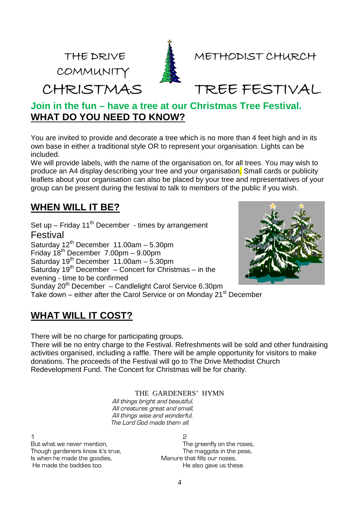COMMUNITY



THE DRIVE **A** METHODIST CHURCH

CHRISTMAS TREE FESTIVAL

## **Join in the fun – have a tree at our Christmas Tree Festival. WHAT DO YOU NEED TO KNOW?**

You are invited to provide and decorate a tree which is no more than 4 feet high and in its own base in either a traditional style OR to represent your organisation. Lights can be included.

We will provide labels, with the name of the organisation on, for all trees. You may wish to produce an A4 display describing your tree and your organisation. Small cards or publicity leaflets about your organisation can also be placed by your tree and representatives of your group can be present during the festival to talk to members of the public if you wish.

## **WHEN WILL IT BE?**

Set up – Friday  $11^{th}$  December - times by arrangement Festival Saturday  $12^{th}$  December  $11.00$ am – 5.30pm Friday  $18^{th}$  December 7.00pm – 9.00pm Saturday 19th December 11.00am – 5.30pm Saturday 19th December – Concert for Christmas – in the evening - time to be confirmed Sunday  $20<sup>th</sup>$  December – Candlelight Carol Service 6.30pm Take down – either after the Carol Service or on Monday 21<sup>st</sup> December



# **WHAT WILL IT COST?**

There will be no charge for participating groups.

There will be no entry charge to the Festival. Refreshments will be sold and other fundraising activities organised, including a raffle. There will be ample opportunity for visitors to make donations. The proceeds of the Festival will go to The Drive Methodist Church Redevelopment Fund. The Concert for Christmas will be for charity.

THE GARDENERS' HYMN

All things bright and beautiful, All creatures great and small, All things wise and wonderful, The Lord God made them all.

 $1$  2 Is when he made the goodies, Manure that fills our noses,

But what we never mention, the state of the greenfly on the roses, Though gardeners know it's true, The maggots in the peas, He made the baddies too. The also gave us these.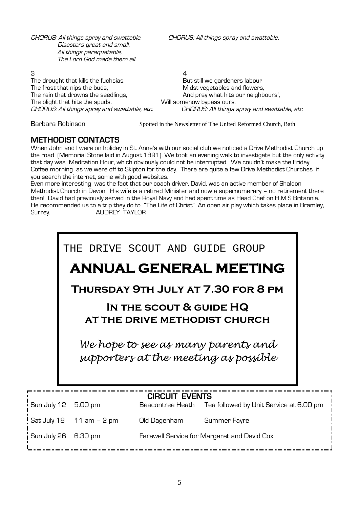CHORUS: All things spray and swattable, CHORUS: All things spray and swattable, Disasters great and small, All things paraquatable, The Lord God made them all.

CHORUS: All things spray and swattable, etc.

 $3 \hspace{2.5cm} 4$ The drought that kills the fuchsias, The But still we gardeners labour The frost that nips the buds, The frost that nips the buds, Midst vegetables and flowers, The rain that drowns the seedlings,<br>The blight that hits the spuds. Will somehow bypass ours. The blight that hits the spuds.<br>CHORUS: All things spray and swattable, etc. CHORUS: All things spray and swattable, etc

Barbara Robinson Spotted in the Newsletter of The United Reformed Church, Bath

## **METHODIST CONTACTS**

When John and I were on holiday in St. Anne's with our social club we noticed a Drive Methodist Church up the road (Memorial Stone laid in August 1891). We took an evening walk to investigate but the only activity that day was Meditation Hour, which obviously could not be interrupted. We couldn't make the Friday Coffee morning as we were off to Skipton for the day. There are quite a few Drive Methodist Churches if you search the internet, some with good websites.

Even more interesting was the fact that our coach driver, David, was an active member of Shaldon Methodist Church in Devon. His wife is a retired Minister and now a supernumerary – no retirement there then! David had previously served in the Royal Navy and had spent time as Head Chef on H.M.S Britannia. He recommended us to a trip they do to "The Life of Christ" An open air play which takes place in Bramley, Surrey. AUDREY TAYLOR